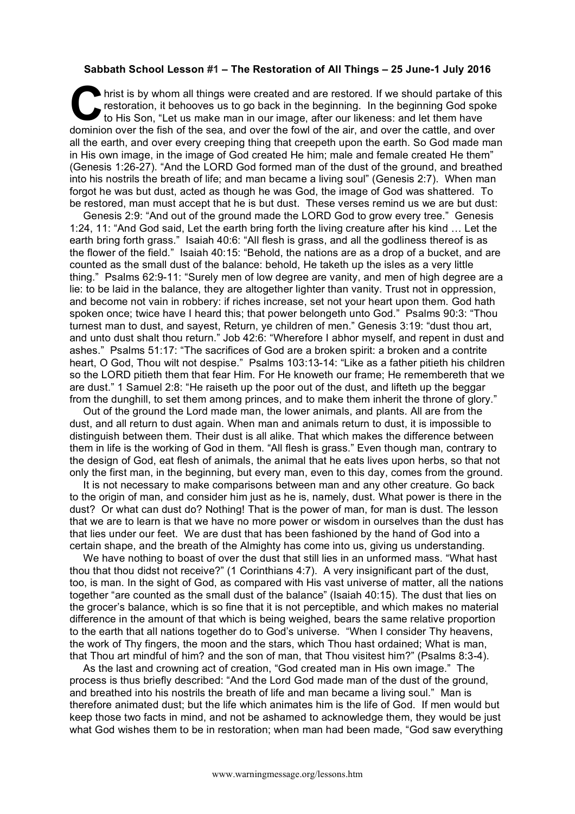## **Sabbath School Lesson #1 – The Restoration of All Things – 25 June-1 July 2016**

hrist is by whom all things were created and are restored. If we should partake of this restoration, it behooves us to go back in the beginning. In the beginning God spoke to His Son, "Let us make man in our image, after our likeness: and let them have dominion over the fish of the sea, and over the fowl of the air, and over the cattle, and over all the earth, and over every creeping thing that creepeth upon the earth. So God made man in His own image, in the image of God created He him; male and female created He them" (Genesis 1:26-27). "And the LORD God formed man of the dust of the ground, and breathed into his nostrils the breath of life; and man became a living soul" (Genesis 2:7). When man forgot he was but dust, acted as though he was God, the image of God was shattered. To be restored, man must accept that he is but dust. These verses remind us we are but dust: C hris

Genesis 2:9: "And out of the ground made the LORD God to grow every tree." Genesis 1:24, 11: "And God said, Let the earth bring forth the living creature after his kind … Let the earth bring forth grass." Isaiah 40:6: "All flesh is grass, and all the godliness thereof is as the flower of the field." Isaiah 40:15: "Behold, the nations are as a drop of a bucket, and are counted as the small dust of the balance: behold, He taketh up the isles as a very little thing." Psalms 62:9-11: "Surely men of low degree are vanity, and men of high degree are a lie: to be laid in the balance, they are altogether lighter than vanity. Trust not in oppression, and become not vain in robbery: if riches increase, set not your heart upon them. God hath spoken once; twice have I heard this; that power belongeth unto God." Psalms 90:3: "Thou turnest man to dust, and sayest, Return, ye children of men." Genesis 3:19: "dust thou art, and unto dust shalt thou return." Job 42:6: "Wherefore I abhor myself, and repent in dust and ashes." Psalms 51:17: "The sacrifices of God are a broken spirit: a broken and a contrite heart, O God, Thou wilt not despise." Psalms 103:13-14: "Like as a father pitieth his children so the LORD pitieth them that fear Him. For He knoweth our frame; He remembereth that we are dust." 1 Samuel 2:8: "He raiseth up the poor out of the dust, and lifteth up the beggar from the dunghill, to set them among princes, and to make them inherit the throne of glory."

Out of the ground the Lord made man, the lower animals, and plants. All are from the dust, and all return to dust again. When man and animals return to dust, it is impossible to distinguish between them. Their dust is all alike. That which makes the difference between them in life is the working of God in them. "All flesh is grass." Even though man, contrary to the design of God, eat flesh of animals, the animal that he eats lives upon herbs, so that not only the first man, in the beginning, but every man, even to this day, comes from the ground.

It is not necessary to make comparisons between man and any other creature. Go back to the origin of man, and consider him just as he is, namely, dust. What power is there in the dust? Or what can dust do? Nothing! That is the power of man, for man is dust. The lesson that we are to learn is that we have no more power or wisdom in ourselves than the dust has that lies under our feet. We are dust that has been fashioned by the hand of God into a certain shape, and the breath of the Almighty has come into us, giving us understanding.

We have nothing to boast of over the dust that still lies in an unformed mass. "What hast thou that thou didst not receive?" (1 Corinthians 4:7). A very insignificant part of the dust, too, is man. In the sight of God, as compared with His vast universe of matter, all the nations together "are counted as the small dust of the balance" (Isaiah 40:15). The dust that lies on the grocer's balance, which is so fine that it is not perceptible, and which makes no material difference in the amount of that which is being weighed, bears the same relative proportion to the earth that all nations together do to God's universe. "When I consider Thy heavens, the work of Thy fingers, the moon and the stars, which Thou hast ordained; What is man, that Thou art mindful of him? and the son of man, that Thou visitest him?" (Psalms 8:3-4).

As the last and crowning act of creation, "God created man in His own image." The process is thus briefly described: "And the Lord God made man of the dust of the ground, and breathed into his nostrils the breath of life and man became a living soul." Man is therefore animated dust; but the life which animates him is the life of God. If men would but keep those two facts in mind, and not be ashamed to acknowledge them, they would be just what God wishes them to be in restoration; when man had been made, "God saw everything